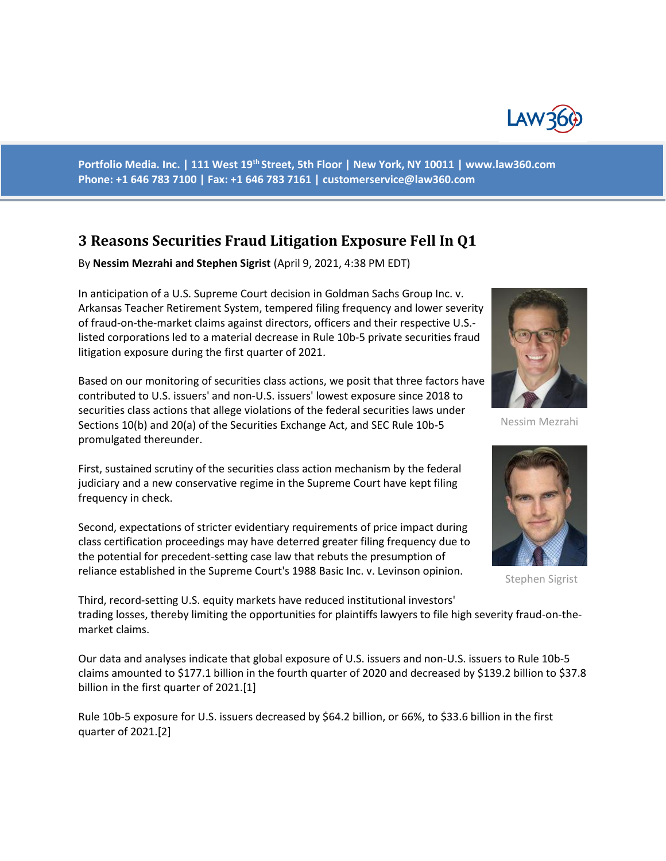

**Portfolio Media. Inc. | 111 West 19th Street, 5th Floor | New York, NY 10011 | www.law360.com Phone: +1 646 783 7100 | Fax: +1 646 783 7161 | customerservice@law360.com**

# **3 Reasons Securities Fraud Litigation Exposure Fell In Q1**

By **Nessim Mezrahi and Stephen Sigrist** (April 9, 2021, 4:38 PM EDT)

In anticipation of a U.S. Supreme Court decision in Goldman Sachs Group Inc. v. Arkansas Teacher Retirement System, tempered filing frequency and lower severity of fraud-on-the-market claims against directors, officers and their respective U.S. listed corporations led to a material decrease in Rule 10b-5 private securities fraud litigation exposure during the first quarter of 2021.

Based on our monitoring of securities class actions, we posit that three factors have contributed to U.S. issuers' and non-U.S. issuers' lowest exposure since 2018 to securities class actions that allege violations of the federal securities laws under Sections 10(b) and 20(a) of the Securities Exchange Act, and SEC Rule 10b-5 promulgated thereunder.

First, sustained scrutiny of the securities class action mechanism by the federal judiciary and a new conservative regime in the Supreme Court have kept filing frequency in check.

Second, expectations of stricter evidentiary requirements of price impact during class certification proceedings may have deterred greater filing frequency due to the potential for precedent-setting case law that rebuts the presumption of reliance established in the Supreme Court's 1988 Basic Inc. v. Levinson opinion.



Nessim Mezrahi



Stephen Sigrist

Third, record-setting U.S. equity markets have reduced institutional investors' trading losses, thereby limiting the opportunities for plaintiffs lawyers to file high severity fraud-on-themarket claims.

Our data and analyses indicate that global exposure of U.S. issuers and non-U.S. issuers to Rule 10b-5 claims amounted to \$177.1 billion in the fourth quarter of 2020 and decreased by \$139.2 billion to \$37.8 billion in the first quarter of 2021.[1]

Rule 10b-5 exposure for U.S. issuers decreased by \$64.2 billion, or 66%, to \$33.6 billion in the first quarter of 2021.[2]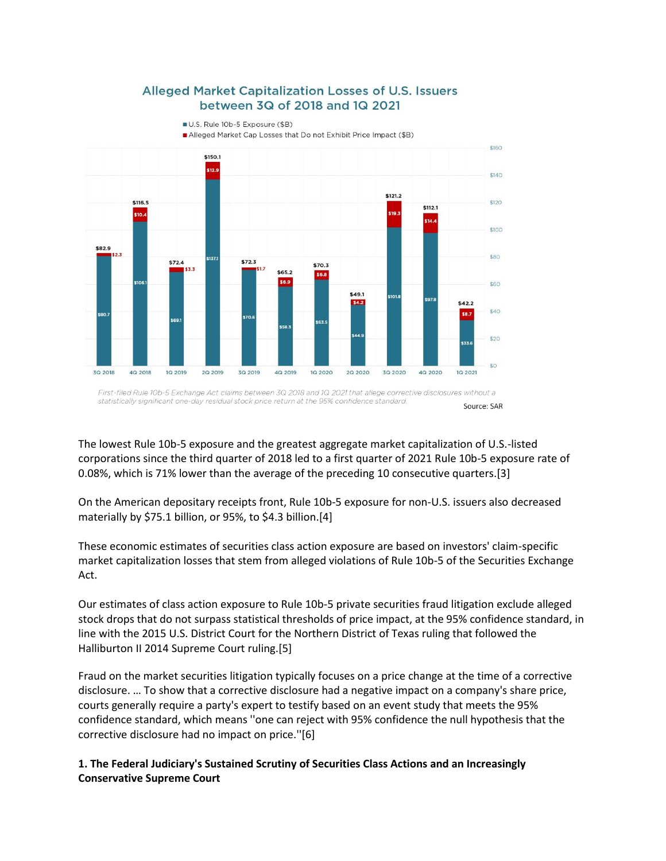

## Alleged Market Capitalization Losses of U.S. Issuers between 3Q of 2018 and 1Q 2021

U.S. Rule 10b-5 Exposure (\$B)

Alleged Market Cap Losses that Do not Exhibit Price Impact (\$B)

First-filed Rule 10b-5 Exchange Act claims between 3Q 2018 and 1Q 2021 that allege corrective disclosures without a statistically significant one-day residual stock price return at the 95% confidence standard. Source: SAR

The lowest Rule 10b-5 exposure and the greatest aggregate market capitalization of U.S.-listed corporations since the third quarter of 2018 led to a first quarter of 2021 Rule 10b-5 exposure rate of 0.08%, which is 71% lower than the average of the preceding 10 consecutive quarters.[3]

On the American depositary receipts front, Rule 10b-5 exposure for non-U.S. issuers also decreased materially by \$75.1 billion, or 95%, to \$4.3 billion.[4]

These economic estimates of securities class action exposure are based on investors' claim-specific market capitalization losses that stem from alleged violations of Rule 10b-5 of the Securities Exchange Act.

Our estimates of class action exposure to Rule 10b-5 private securities fraud litigation exclude alleged stock drops that do not surpass statistical thresholds of price impact, at the 95% confidence standard, in line with the 2015 U.S. District Court for the Northern District of Texas ruling that followed the Halliburton II 2014 Supreme Court ruling.[5]

Fraud on the market securities litigation typically focuses on a price change at the time of a corrective disclosure. … To show that a corrective disclosure had a negative impact on a company's share price, courts generally require a party's expert to testify based on an event study that meets the 95% confidence standard, which means ''one can reject with 95% confidence the null hypothesis that the corrective disclosure had no impact on price.''[6]

### **1. The Federal Judiciary's Sustained Scrutiny of Securities Class Actions and an Increasingly Conservative Supreme Court**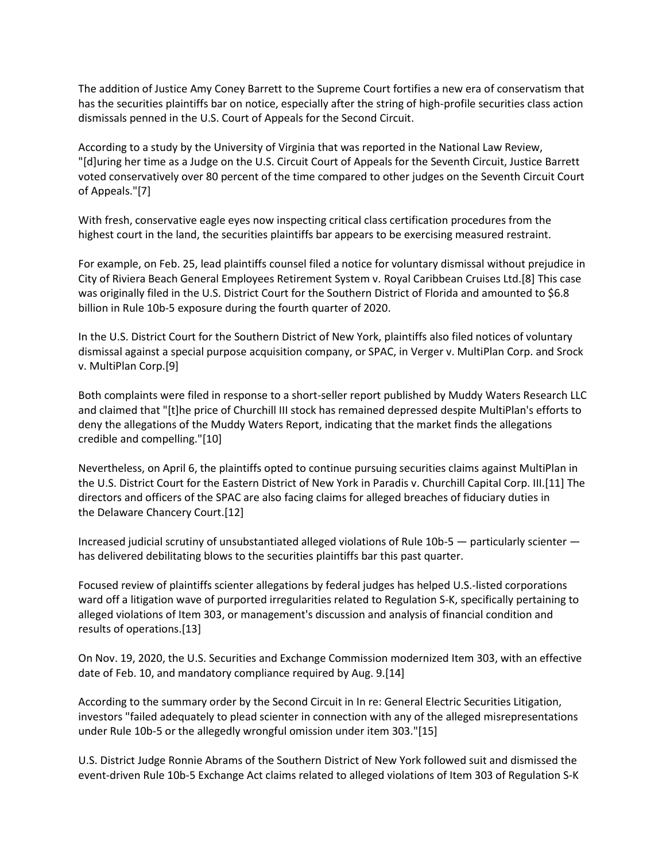The addition of Justice Amy Coney Barrett to the Supreme Court fortifies a new era of conservatism that has the securities plaintiffs bar on notice, especially after the string of high-profile securities class action dismissals penned in the U.S. Court of Appeals for the Second Circuit.

According to a study by the University of Virginia that was reported in the National Law Review, "[d]uring her time as a Judge on the U.S. Circuit Court of Appeals for the Seventh Circuit, Justice Barrett voted conservatively over 80 percent of the time compared to other judges on the Seventh Circuit Court of Appeals."[7]

With fresh, conservative eagle eyes now inspecting critical class certification procedures from the highest court in the land, the securities plaintiffs bar appears to be exercising measured restraint.

For example, on Feb. 25, lead plaintiffs counsel filed a notice for voluntary dismissal without prejudice in City of Riviera Beach General Employees Retirement System v. Royal Caribbean Cruises Ltd.[8] This case was originally filed in the U.S. District Court for the Southern District of Florida and amounted to \$6.8 billion in Rule 10b-5 exposure during the fourth quarter of 2020.

In the U.S. District Court for the Southern District of New York, plaintiffs also filed notices of voluntary dismissal against a special purpose acquisition company, or SPAC, in Verger v. MultiPlan Corp. and Srock v. MultiPlan Corp.[9]

Both complaints were filed in response to a short-seller report published by Muddy Waters Research LLC and claimed that "[t]he price of Churchill III stock has remained depressed despite MultiPlan's efforts to deny the allegations of the Muddy Waters Report, indicating that the market finds the allegations credible and compelling."[10]

Nevertheless, on April 6, the plaintiffs opted to continue pursuing securities claims against MultiPlan in the U.S. District Court for the Eastern District of New York in Paradis v. Churchill Capital Corp. III.[11] The directors and officers of the SPAC are also facing claims for alleged breaches of fiduciary duties in the Delaware Chancery Court.[12]

Increased judicial scrutiny of unsubstantiated alleged violations of Rule 10b-5 — particularly scienter has delivered debilitating blows to the securities plaintiffs bar this past quarter.

Focused review of plaintiffs scienter allegations by federal judges has helped U.S.-listed corporations ward off a litigation wave of purported irregularities related to Regulation S-K, specifically pertaining to alleged violations of Item 303, or management's discussion and analysis of financial condition and results of operations.[13]

On Nov. 19, 2020, the U.S. Securities and Exchange Commission modernized Item 303, with an effective date of Feb. 10, and mandatory compliance required by Aug. 9.[14]

According to the summary order by the Second Circuit in In re: General Electric Securities Litigation, investors "failed adequately to plead scienter in connection with any of the alleged misrepresentations under Rule 10b-5 or the allegedly wrongful omission under item 303."[15]

U.S. District Judge Ronnie Abrams of the Southern District of New York followed suit and dismissed the event-driven Rule 10b-5 Exchange Act claims related to alleged violations of Item 303 of Regulation S-K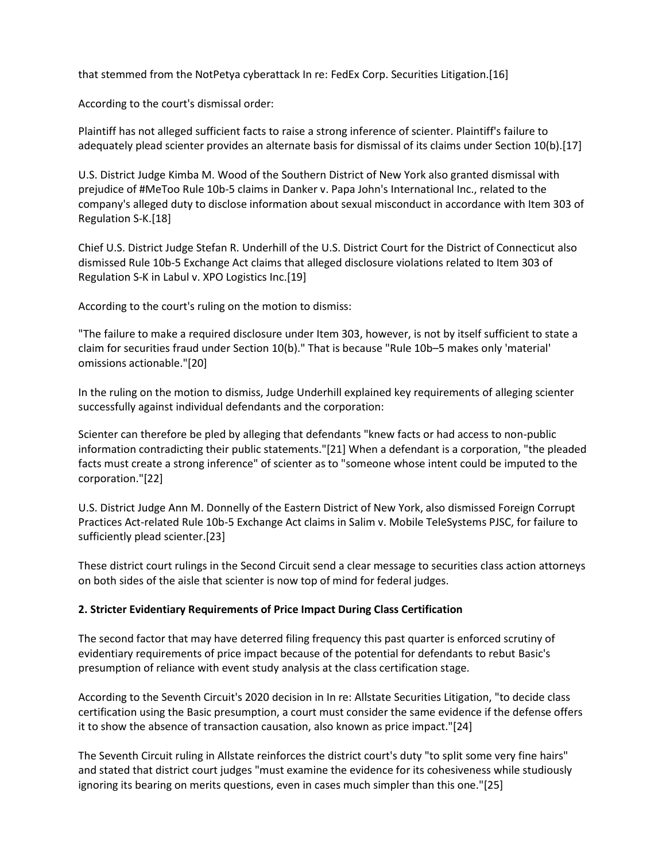that stemmed from the NotPetya cyberattack In re: FedEx Corp. Securities Litigation.[16]

According to the court's dismissal order:

Plaintiff has not alleged sufficient facts to raise a strong inference of scienter. Plaintiff's failure to adequately plead scienter provides an alternate basis for dismissal of its claims under Section 10(b).[17]

U.S. District Judge Kimba M. Wood of the Southern District of New York also granted dismissal with prejudice of #MeToo Rule 10b-5 claims in Danker v. Papa John's International Inc., related to the company's alleged duty to disclose information about sexual misconduct in accordance with Item 303 of Regulation S-K.[18]

Chief U.S. District Judge Stefan R. Underhill of the U.S. District Court for the District of Connecticut also dismissed Rule 10b-5 Exchange Act claims that alleged disclosure violations related to Item 303 of Regulation S-K in Labul v. XPO Logistics Inc.[19]

According to the court's ruling on the motion to dismiss:

"The failure to make a required disclosure under Item 303, however, is not by itself sufficient to state a claim for securities fraud under Section 10(b)." That is because "Rule 10b–5 makes only 'material' omissions actionable."[20]

In the ruling on the motion to dismiss, Judge Underhill explained key requirements of alleging scienter successfully against individual defendants and the corporation:

Scienter can therefore be pled by alleging that defendants "knew facts or had access to non-public information contradicting their public statements."[21] When a defendant is a corporation, "the pleaded facts must create a strong inference" of scienter as to "someone whose intent could be imputed to the corporation."[22]

U.S. District Judge Ann M. Donnelly of the Eastern District of New York, also dismissed Foreign Corrupt Practices Act-related Rule 10b-5 Exchange Act claims in Salim v. Mobile TeleSystems PJSC, for failure to sufficiently plead scienter.[23]

These district court rulings in the Second Circuit send a clear message to securities class action attorneys on both sides of the aisle that scienter is now top of mind for federal judges.

#### **2. Stricter Evidentiary Requirements of Price Impact During Class Certification**

The second factor that may have deterred filing frequency this past quarter is enforced scrutiny of evidentiary requirements of price impact because of the potential for defendants to rebut Basic's presumption of reliance with event study analysis at the class certification stage.

According to the Seventh Circuit's 2020 decision in In re: Allstate Securities Litigation, "to decide class certification using the Basic presumption, a court must consider the same evidence if the defense offers it to show the absence of transaction causation, also known as price impact."[24]

The Seventh Circuit ruling in Allstate reinforces the district court's duty "to split some very fine hairs" and stated that district court judges "must examine the evidence for its cohesiveness while studiously ignoring its bearing on merits questions, even in cases much simpler than this one."[25]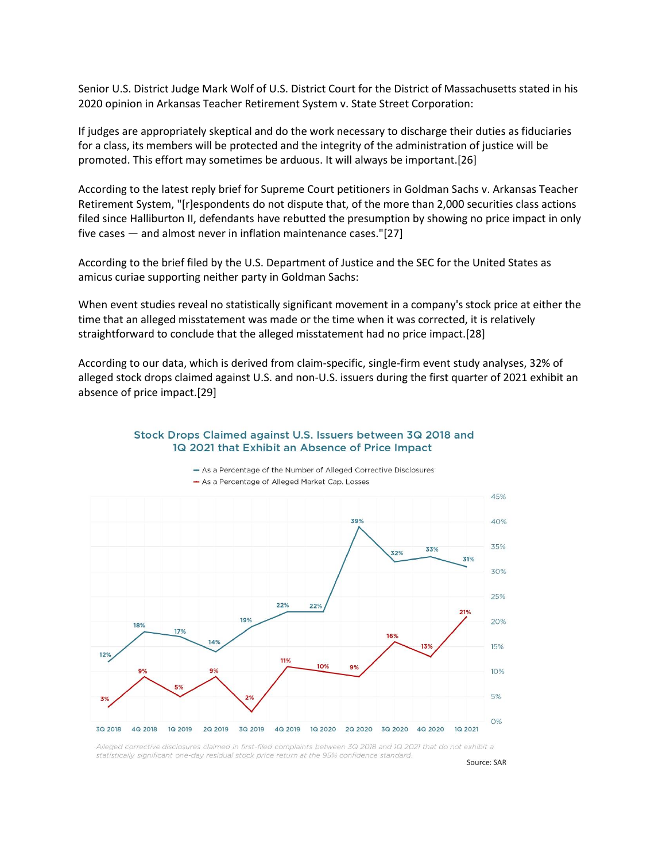Senior U.S. District Judge Mark Wolf of U.S. District Court for the District of Massachusetts stated in his 2020 opinion in Arkansas Teacher Retirement System v. State Street Corporation:

If judges are appropriately skeptical and do the work necessary to discharge their duties as fiduciaries for a class, its members will be protected and the integrity of the administration of justice will be promoted. This effort may sometimes be arduous. It will always be important.[26]

According to the latest reply brief for Supreme Court petitioners in Goldman Sachs v. Arkansas Teacher Retirement System, "[r]espondents do not dispute that, of the more than 2,000 securities class actions filed since Halliburton II, defendants have rebutted the presumption by showing no price impact in only five cases — and almost never in inflation maintenance cases."[27]

According to the brief filed by the U.S. Department of Justice and the SEC for the United States as amicus curiae supporting neither party in Goldman Sachs:

When event studies reveal no statistically significant movement in a company's stock price at either the time that an alleged misstatement was made or the time when it was corrected, it is relatively straightforward to conclude that the alleged misstatement had no price impact.[28]

According to our data, which is derived from claim-specific, single-firm event study analyses, 32% of alleged stock drops claimed against U.S. and non-U.S. issuers during the first quarter of 2021 exhibit an absence of price impact.[29]

#### Stock Drops Claimed against U.S. Issuers between 3Q 2018 and 1Q 2021 that Exhibit an Absence of Price Impact



- As a Percentage of the Number of Alleged Corrective Disclosures - As a Percentage of Alleged Market Cap. Losses

Alleged corrective disclosures claimed in first-filed complaints between 3Q 2018 and 1Q 2021 that do not exhibit a statistically significant one-day residual stock price return at the 95% confidence standard.

Source: SAR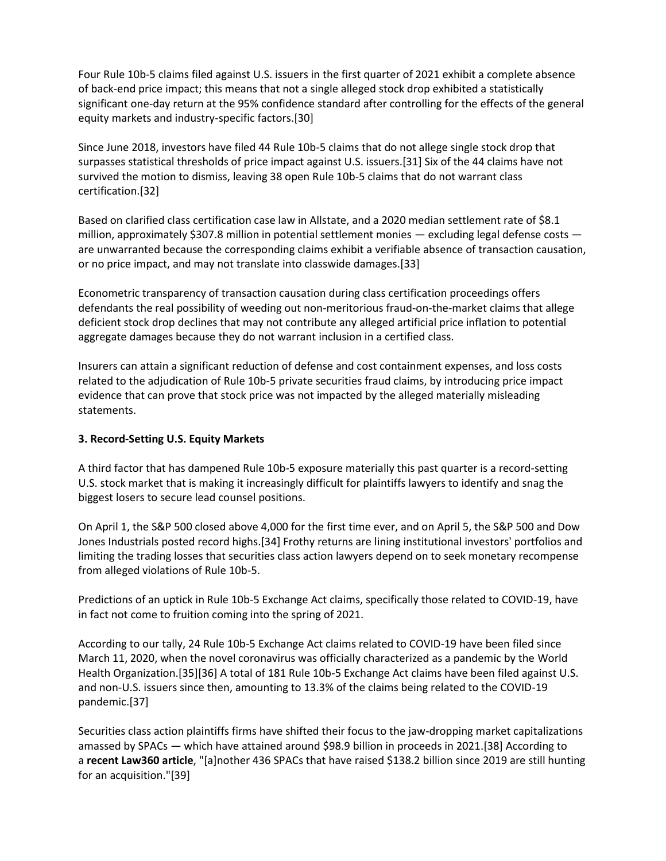Four Rule 10b-5 claims filed against U.S. issuers in the first quarter of 2021 exhibit a complete absence of back-end price impact; this means that not a single alleged stock drop exhibited a statistically significant one-day return at the 95% confidence standard after controlling for the effects of the general equity markets and industry-specific factors.[30]

Since June 2018, investors have filed 44 Rule 10b-5 claims that do not allege single stock drop that surpasses statistical thresholds of price impact against U.S. issuers.[31] Six of the 44 claims have not survived the motion to dismiss, leaving 38 open Rule 10b-5 claims that do not warrant class certification.[32]

Based on clarified class certification case law in Allstate, and a 2020 median settlement rate of \$8.1 million, approximately \$307.8 million in potential settlement monies  $-$  excluding legal defense costs  $$ are unwarranted because the corresponding claims exhibit a verifiable absence of transaction causation, or no price impact, and may not translate into classwide damages.[33]

Econometric transparency of transaction causation during class certification proceedings offers defendants the real possibility of weeding out non-meritorious fraud-on-the-market claims that allege deficient stock drop declines that may not contribute any alleged artificial price inflation to potential aggregate damages because they do not warrant inclusion in a certified class.

Insurers can attain a significant reduction of defense and cost containment expenses, and loss costs related to the adjudication of Rule 10b-5 private securities fraud claims, by introducing price impact evidence that can prove that stock price was not impacted by the alleged materially misleading statements.

#### **3. Record-Setting U.S. Equity Markets**

A third factor that has dampened Rule 10b-5 exposure materially this past quarter is a record-setting U.S. stock market that is making it increasingly difficult for plaintiffs lawyers to identify and snag the biggest losers to secure lead counsel positions.

On April 1, the S&P 500 closed above 4,000 for the first time ever, and on April 5, the S&P 500 and Dow Jones Industrials posted record highs.[34] Frothy returns are lining institutional investors' portfolios and limiting the trading losses that securities class action lawyers depend on to seek monetary recompense from alleged violations of Rule 10b-5.

Predictions of an uptick in Rule 10b-5 Exchange Act claims, specifically those related to COVID-19, have in fact not come to fruition coming into the spring of 2021.

According to our tally, 24 Rule 10b-5 Exchange Act claims related to COVID-19 have been filed since March 11, 2020, when the novel coronavirus was officially characterized as a pandemic by the World Health Organization.[35][36] A total of 181 Rule 10b-5 Exchange Act claims have been filed against U.S. and non-U.S. issuers since then, amounting to 13.3% of the claims being related to the COVID-19 pandemic.[37]

Securities class action plaintiffs firms have shifted their focus to the jaw-dropping market capitalizations amassed by SPACs — which have attained around \$98.9 billion in proceeds in 2021.[38] According to a **recent Law360 article**, "[a]nother 436 SPACs that have raised \$138.2 billion since 2019 are still hunting for an acquisition."[39]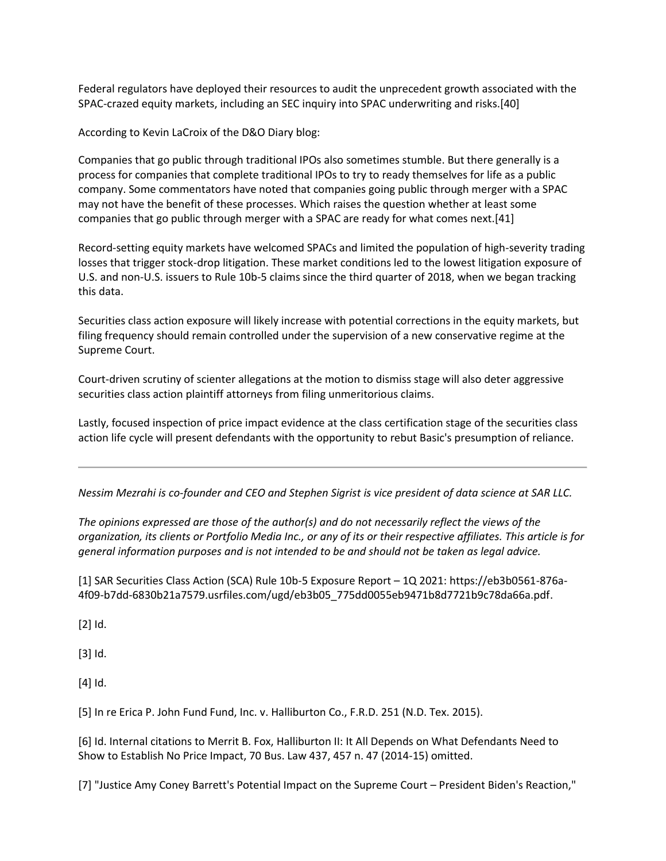Federal regulators have deployed their resources to audit the unprecedent growth associated with the SPAC-crazed equity markets, including an SEC inquiry into SPAC underwriting and risks.[40]

According to Kevin LaCroix of the D&O Diary blog:

Companies that go public through traditional IPOs also sometimes stumble. But there generally is a process for companies that complete traditional IPOs to try to ready themselves for life as a public company. Some commentators have noted that companies going public through merger with a SPAC may not have the benefit of these processes. Which raises the question whether at least some companies that go public through merger with a SPAC are ready for what comes next.[41]

Record-setting equity markets have welcomed SPACs and limited the population of high-severity trading losses that trigger stock-drop litigation. These market conditions led to the lowest litigation exposure of U.S. and non-U.S. issuers to Rule 10b-5 claims since the third quarter of 2018, when we began tracking this data.

Securities class action exposure will likely increase with potential corrections in the equity markets, but filing frequency should remain controlled under the supervision of a new conservative regime at the Supreme Court.

Court-driven scrutiny of scienter allegations at the motion to dismiss stage will also deter aggressive securities class action plaintiff attorneys from filing unmeritorious claims.

Lastly, focused inspection of price impact evidence at the class certification stage of the securities class action life cycle will present defendants with the opportunity to rebut Basic's presumption of reliance.

*Nessim Mezrahi is co-founder and CEO and Stephen Sigrist is vice president of data science at SAR LLC.*

*The opinions expressed are those of the author(s) and do not necessarily reflect the views of the organization, its clients or Portfolio Media Inc., or any of its or their respective affiliates. This article is for general information purposes and is not intended to be and should not be taken as legal advice.*

[1] SAR Securities Class Action (SCA) Rule 10b-5 Exposure Report – 1Q 2021: https://eb3b0561-876a-4f09-b7dd-6830b21a7579.usrfiles.com/ugd/eb3b05\_775dd0055eb9471b8d7721b9c78da66a.pdf.

[2] Id.

[3] Id.

[4] Id.

[5] In re Erica P. John Fund Fund, Inc. v. Halliburton Co., F.R.D. 251 (N.D. Tex. 2015).

[6] Id. Internal citations to Merrit B. Fox, Halliburton II: It All Depends on What Defendants Need to Show to Establish No Price Impact, 70 Bus. Law 437, 457 n. 47 (2014-15) omitted.

[7] "Justice Amy Coney Barrett's Potential Impact on the Supreme Court – President Biden's Reaction,"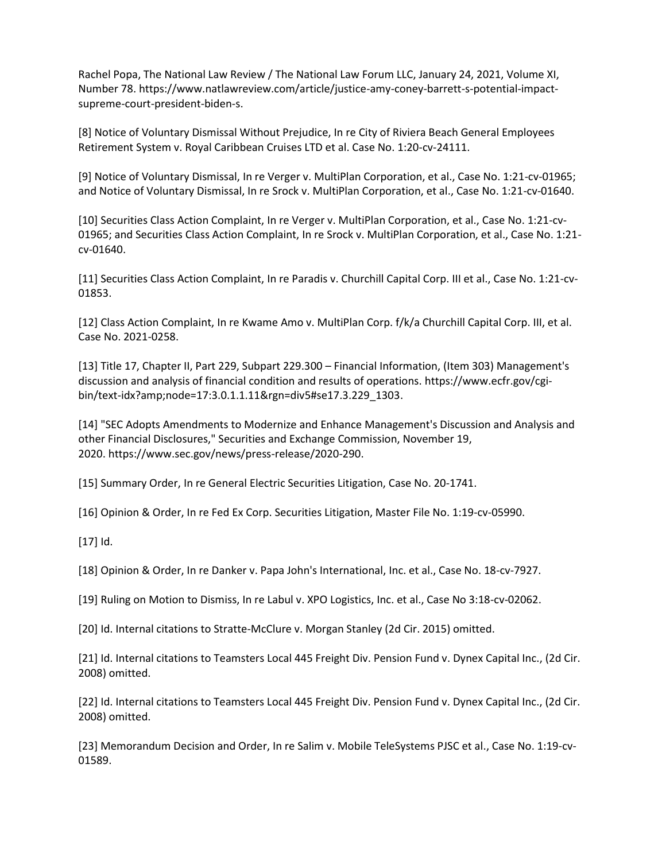Rachel Popa, The National Law Review / The National Law Forum LLC, January 24, 2021, Volume XI, Number 78. https://www.natlawreview.com/article/justice-amy-coney-barrett-s-potential-impactsupreme-court-president-biden-s.

[8] Notice of Voluntary Dismissal Without Prejudice, In re City of Riviera Beach General Employees Retirement System v. Royal Caribbean Cruises LTD et al. Case No. 1:20-cv-24111.

[9] Notice of Voluntary Dismissal, In re Verger v. MultiPlan Corporation, et al., Case No. 1:21-cv-01965; and Notice of Voluntary Dismissal, In re Srock v. MultiPlan Corporation, et al., Case No. 1:21-cv-01640.

[10] Securities Class Action Complaint, In re Verger v. MultiPlan Corporation, et al., Case No. 1:21-cv-01965; and Securities Class Action Complaint, In re Srock v. MultiPlan Corporation, et al., Case No. 1:21 cv-01640.

[11] Securities Class Action Complaint, In re Paradis v. Churchill Capital Corp. III et al., Case No. 1:21-cv-01853.

[12] Class Action Complaint, In re Kwame Amo v. MultiPlan Corp. f/k/a Churchill Capital Corp. III, et al. Case No. 2021-0258.

[13] Title 17, Chapter II, Part 229, Subpart 229.300 – Financial Information, (Item 303) Management's discussion and analysis of financial condition and results of operations. https://www.ecfr.gov/cgibin/text-idx?amp;node=17:3.0.1.1.11&rgn=div5#se17.3.229\_1303.

[14] "SEC Adopts Amendments to Modernize and Enhance Management's Discussion and Analysis and other Financial Disclosures," Securities and Exchange Commission, November 19, 2020. https://www.sec.gov/news/press-release/2020-290.

[15] Summary Order, In re General Electric Securities Litigation, Case No. 20-1741.

[16] Opinion & Order, In re Fed Ex Corp. Securities Litigation, Master File No. 1:19-cv-05990.

[17] Id.

[18] Opinion & Order, In re Danker v. Papa John's International, Inc. et al., Case No. 18-cv-7927.

[19] Ruling on Motion to Dismiss, In re Labul v. XPO Logistics, Inc. et al., Case No 3:18-cv-02062.

[20] Id. Internal citations to Stratte-McClure v. Morgan Stanley (2d Cir. 2015) omitted.

[21] Id. Internal citations to Teamsters Local 445 Freight Div. Pension Fund v. Dynex Capital Inc., (2d Cir. 2008) omitted.

[22] Id. Internal citations to Teamsters Local 445 Freight Div. Pension Fund v. Dynex Capital Inc., (2d Cir. 2008) omitted.

[23] Memorandum Decision and Order, In re Salim v. Mobile TeleSystems PJSC et al., Case No. 1:19-cv-01589.